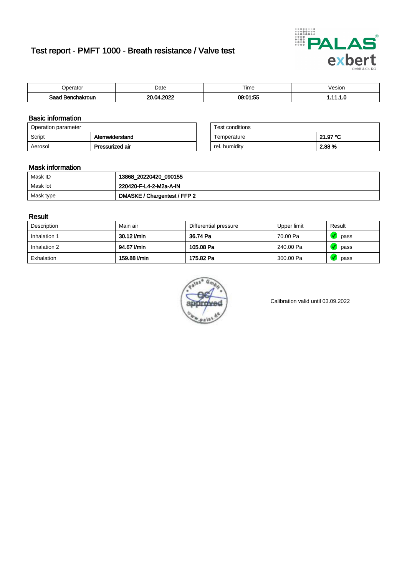# Test report - PMFT 1000 - Breath resistance / Valve test



| <b>'</b> perator                | Date        | $- \cdot$<br><b>Time</b> | esion |
|---------------------------------|-------------|--------------------------|-------|
| Saad<br><b>\chakroun</b><br>. . | 0000<br>ne. | 00.04.55<br>us<br>تحت    | .     |

### Basic information

| Operation parameter |                 | Test conditions |          |
|---------------------|-----------------|-----------------|----------|
| Script              | Atemwiderstand  | Temperature     | 21.97 °C |
| Aerosol             | Pressurized air | rel. humidity   | 2.88 %   |

| Test conditions |          |
|-----------------|----------|
| Temperature     | 21.97 °C |
| rel. humidity   | 2.88%    |

### Mask information

| Mask ID   | 13868_20220420_090155        |
|-----------|------------------------------|
| Mask lot  | 220420-F-L4-2-M2a-A-IN       |
| Mask type | DMASKE / Chargentest / FFP 2 |

### Result

| Description  | Main air     | Differential pressure | Upper limit | Result |
|--------------|--------------|-----------------------|-------------|--------|
| Inhalation 1 | 30.12 l/min  | 36.74 Pa              | 70.00 Pa    | pass   |
| Inhalation 2 | 94.67 l/min  | 105.08 Pa             | 240.00 Pa   | pass   |
| Exhalation   | 159.88 l/min | 175.82 Pa             | 300.00 Pa   | pass   |



Calibration valid until 03.09.2022